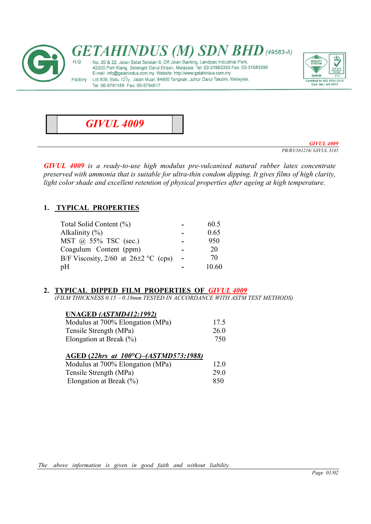



GIVUL 4009 PB/R3/161216/ GIVUL 3145

GIVUL 4009 is a ready-to-use high modulus pre-vulcanised natural rubber latex concentrate preserved with ammonia that is suitable for ultra-thin condom dipping. It gives films of high clarity, light color shade and excellent retention of physical properties after ageing at high temperature.

# 1. TYPICAL PROPERTIES

| Total Solid Content (%)                    | 60.5  |
|--------------------------------------------|-------|
| Alkalinity $(\% )$                         | 0.65  |
| MST @ 55% TSC (sec.)                       | 950   |
| Coagulum Content (ppm)                     | 20    |
| B/F Viscosity, $2/60$ at $26\pm2$ °C (cps) | 70    |
| pH                                         | 10.60 |

#### 2. TYPICAL DIPPED FILM PROPERTIES OF GIVUL 4009

(FILM THICKNESS 0.15 – 0.18mm TESTED IN ACCORDANCE WITH ASTM TEST METHODS)

#### UNAGED (ASTMD412:1992)

| Modulus at 700% Elongation (MPa) | 17.5 |
|----------------------------------|------|
| Tensile Strength (MPa)           | 26.0 |
| Elongation at Break $(\%)$       | 750  |

| AGED (22hrs at $100^{\circ}C$ )–(ASTMD573:1988) |      |
|-------------------------------------------------|------|
| Modulus at 700% Elongation (MPa)                | 12.0 |
| Tensile Strength (MPa)                          | 29.0 |
| Elongation at Break $(\%)$                      | 850  |

The above information is given in good faith and without liability.